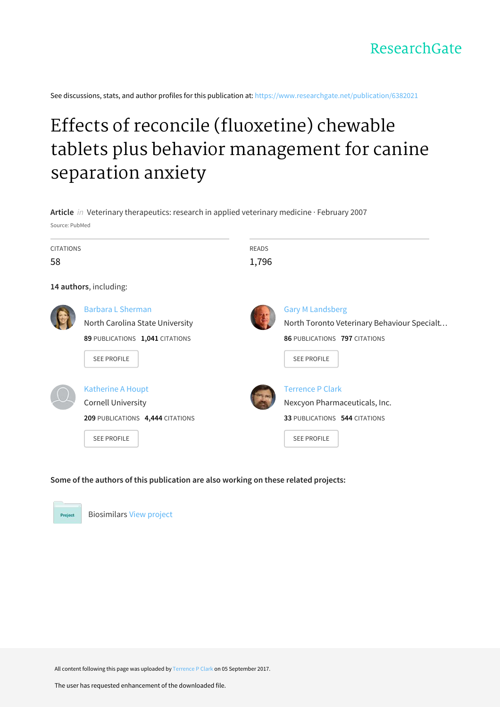See discussions, stats, and author profiles for this publication at: https://www.researchgate.net/publication/6382021

# Effects of reconcile (fluoxetine) chewable tablets plus behavior management for canine separation anxiety

| Source: PubMed   | Article in Veterinary therapeutics: research in applied veterinary medicine · February 2007                          |              |                                                                                                                               |
|------------------|----------------------------------------------------------------------------------------------------------------------|--------------|-------------------------------------------------------------------------------------------------------------------------------|
| <b>CITATIONS</b> |                                                                                                                      | <b>READS</b> |                                                                                                                               |
| 58               |                                                                                                                      | 1,796        |                                                                                                                               |
|                  | 14 authors, including:                                                                                               |              |                                                                                                                               |
|                  | <b>Barbara L Sherman</b><br>North Carolina State University<br>89 PUBLICATIONS 1,041 CITATIONS<br><b>SEE PROFILE</b> |              | <b>Gary M Landsberg</b><br>North Toronto Veterinary Behaviour Specialt<br>86 PUBLICATIONS 797 CITATIONS<br><b>SEE PROFILE</b> |
|                  | <b>Katherine A Houpt</b><br><b>Cornell University</b><br>209 PUBLICATIONS 4,444 CITATIONS<br><b>SEE PROFILE</b>      |              | <b>Terrence P Clark</b><br>Nexcyon Pharmaceuticals, Inc.<br>33 PUBLICATIONS 544 CITATIONS<br><b>SEE PROFILE</b>               |

#### Some of the authors of this publication are also working on these related projects:



**Biosimilars View project** 

All content following this page was uploaded by Terrence P Clark on 05 September 2017.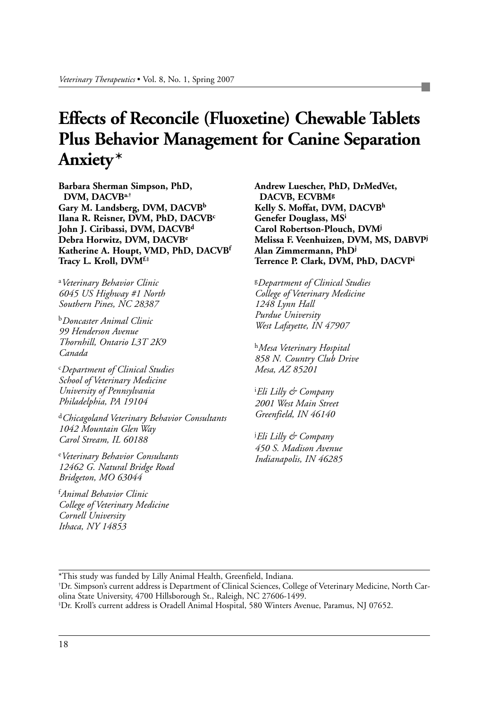## **Effects of Reconcile (Fluoxetine) Chewable Tablets Plus Behavior Management for Canine Separation Anxiety\***

**Barbara Sherman Simpson, PhD, DVM, DACVB<sup>a</sup>,† Gary M. Landsberg, DVM, DACVB<sup>b</sup> Ilana R. Reisner, DVM, PhD, DACVB<sup>c</sup> John J. Ciribassi, DVM, DACVB<sup>d</sup> Debra Horwitz, DVM, DACVB<sup>e</sup> Katherine A. Houpt, VMD, PhD, DACVB<sup>f</sup> Tracy L. Kroll, DVM<sup>f</sup>,‡**

<sup>a</sup>*Veterinary Behavior Clinic 6045 US Highway #1 North Southern Pines, NC 28387*

<sup>b</sup>*Doncaster Animal Clinic 99 Henderson Avenue Thornhill, Ontario L3T 2K9 Canada*

<sup>c</sup>*Department of Clinical Studies School of Veterinary Medicine University of Pennsylvania Philadelphia, PA 19104*

<sup>d</sup>*Chicagoland Veterinary Behavior Consultants 1042 Mountain Glen Way Carol Stream, IL 60188* 

<sup>e</sup>*Veterinary Behavior Consultants 12462 G. Natural Bridge Road Bridgeton, MO 63044*

<sup>f</sup>*Animal Behavior Clinic College of Veterinary Medicine Cornell University Ithaca, NY 14853*

**Andrew Luescher, PhD, DrMedVet, DACVB, ECVBM<sup>g</sup> Kelly S. Moffat, DVM, DACVB<sup>h</sup> Genefer Douglass, MS<sup>i</sup> Carol Robertson-Plouch, DVM<sup>j</sup> Melissa F. Veenhuizen, DVM, MS, DABVP<sup>j</sup> Alan Zimmermann, PhD<sup>j</sup> Terrence P. Clark, DVM, PhD, DACVP<sup>i</sup>**

<sup>g</sup>*Department of Clinical Studies College of Veterinary Medicine 1248 Lynn Hall Purdue University West Lafayette, IN 47907*

<sup>h</sup>*Mesa Veterinary Hospital 858 N. Country Club Drive Mesa, AZ 85201*

<sup>i</sup>*Eli Lilly & Company 2001 West Main Street Greenfield, IN 46140*

<sup>j</sup>*Eli Lilly & Company 450 S. Madison Avenue Indianapolis, IN 46285*

\*This study was funded by Lilly Animal Health, Greenfield, Indiana.

<sup>†</sup>Dr. Simpson's current address is Department of Clinical Sciences, College of Veterinary Medicine, North Carolina State University, 4700 Hillsborough St., Raleigh, NC 27606-1499.

<sup>‡</sup>Dr. Kroll's current address is Oradell Animal Hospital, 580 Winters Avenue, Paramus, NJ 07652.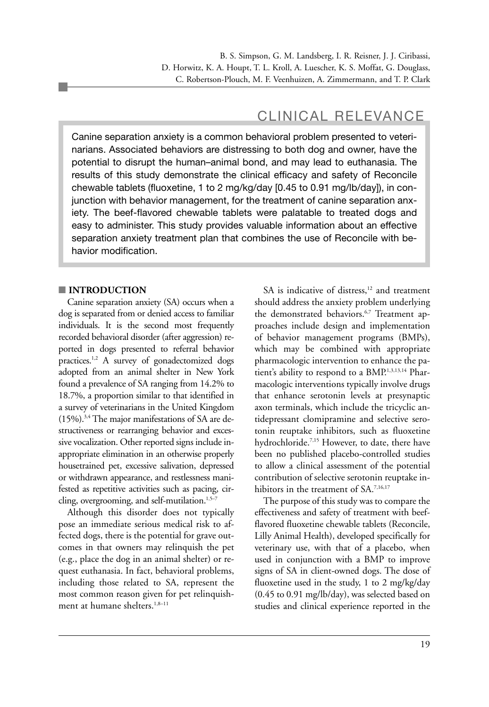### CLINICAL RELEVANCE

Canine separation anxiety is a common behavioral problem presented to veterinarians. Associated behaviors are distressing to both dog and owner, have the potential to disrupt the human–animal bond, and may lead to euthanasia. The results of this study demonstrate the clinical efficacy and safety of Reconcile chewable tablets (fluoxetine, 1 to 2 mg/kg/day [0.45 to 0.91 mg/lb/day]), in conjunction with behavior management, for the treatment of canine separation anxiety. The beef-flavored chewable tablets were palatable to treated dogs and easy to administer. This study provides valuable information about an effective separation anxiety treatment plan that combines the use of Reconcile with behavior modification.

#### ■ **INTRODUCTION**

Canine separation anxiety (SA) occurs when a dog is separated from or denied access to familiar individuals. It is the second most frequently recorded behavioral disorder (after aggression) reported in dogs presented to referral behavior practices.<sup>1,2</sup> A survey of gonadectomized dogs adopted from an animal shelter in New York found a prevalence of SA ranging from 14.2% to 18.7%, a proportion similar to that identified in a survey of veterinarians in the United Kingdom (15%).3,4 The major manifestations of SA are destructiveness or rearranging behavior and excessive vocalization. Other reported signs include inappropriate elimination in an otherwise properly housetrained pet, excessive salivation, depressed or withdrawn appearance, and restlessness manifested as repetitive activities such as pacing, circling, overgrooming, and self-mutilation.<sup>1,5-7</sup>

Although this disorder does not typically pose an immediate serious medical risk to affected dogs, there is the potential for grave outcomes in that owners may relinquish the pet (e.g., place the dog in an animal shelter) or request euthanasia. In fact, behavioral problems, including those related to SA, represent the most common reason given for pet relinquishment at humane shelters.<sup>1,8-11</sup>

SA is indicative of distress,<sup>12</sup> and treatment should address the anxiety problem underlying the demonstrated behaviors.<sup>6,7</sup> Treatment approaches include design and implementation of behavior management programs (BMPs), which may be combined with appropriate pharmacologic intervention to enhance the patient's ability to respond to a BMP.1,3,13,14 Pharmacologic interventions typically involve drugs that enhance serotonin levels at presynaptic axon terminals, which include the tricyclic antidepressant clomipramine and selective serotonin reuptake inhibitors, such as fluoxetine hydrochloride.<sup>7,15</sup> However, to date, there have been no published placebo-controlled studies to allow a clinical assessment of the potential contribution of selective serotonin reuptake inhibitors in the treatment of SA.7,16,17

The purpose of this study was to compare the effectiveness and safety of treatment with beefflavored fluoxetine chewable tablets (Reconcile, Lilly Animal Health), developed specifically for veterinary use, with that of a placebo, when used in conjunction with a BMP to improve signs of SA in client-owned dogs. The dose of fluoxetine used in the study, 1 to 2 mg/kg/day (0.45 to 0.91 mg/lb/day), was selected based on studies and clinical experience reported in the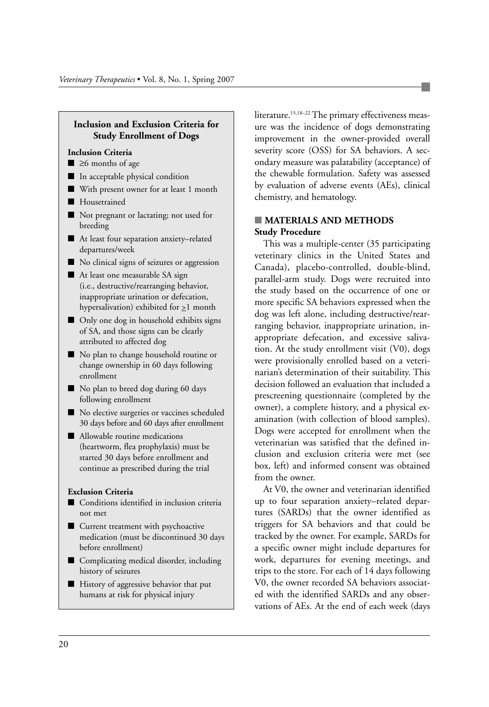#### **Inclusion and Exclusion Criteria for Study Enrollment of Dogs**

#### **Inclusion Criteria**

- ≥6 months of age
- In acceptable physical condition
- With present owner for at least 1 month
- Housetrained
- Not pregnant or lactating; not used for breeding
- At least four separation anxiety–related departures/week
- No clinical signs of seizures or aggression
- At least one measurable SA sign (i.e., destructive/rearranging behavior, inappropriate urination or defecation, hypersalivation) exhibited for  $\geq 1$  month
- Only one dog in household exhibits signs of SA, and those signs can be clearly attributed to affected dog
- No plan to change household routine or change ownership in 60 days following enrollment
- No plan to breed dog during 60 days following enrollment
- No elective surgeries or vaccines scheduled 30 days before and 60 days after enrollment
- Allowable routine medications (heartworm, flea prophylaxis) must be started 30 days before enrollment and continue as prescribed during the trial

#### **Exclusion Criteria**

- Conditions identified in inclusion criteria not met
- Current treatment with psychoactive medication (must be discontinued 30 days before enrollment)
- Complicating medical disorder, including history of seizures
- History of aggressive behavior that put humans at risk for physical injury

literature.<sup>15,18-22</sup> The primary effectiveness measure was the incidence of dogs demonstrating improvement in the owner-provided overall severity score (OSS) for SA behaviors. A secondary measure was palatability (acceptance) of the chewable formulation. Safety was assessed by evaluation of adverse events (AEs), clinical chemistry, and hematology.

#### ■ **MATERIALS AND METHODS Study Procedure**

This was a multiple-center (35 participating veterinary clinics in the United States and Canada), placebo-controlled, double-blind, parallel-arm study. Dogs were recruited into the study based on the occurrence of one or more specific SA behaviors expressed when the dog was left alone, including destructive/rearranging behavior, inappropriate urination, inappropriate defecation, and excessive salivation. At the study enrollment visit (V0), dogs were provisionally enrolled based on a veterinarian's determination of their suitability. This decision followed an evaluation that included a prescreening questionnaire (completed by the owner), a complete history, and a physical examination (with collection of blood samples). Dogs were accepted for enrollment when the veterinarian was satisfied that the defined inclusion and exclusion criteria were met (see box, left) and informed consent was obtained from the owner.

At V0, the owner and veterinarian identified up to four separation anxiety–related departures (SARDs) that the owner identified as triggers for SA behaviors and that could be tracked by the owner. For example, SARDs for a specific owner might include departures for work, departures for evening meetings, and trips to the store. For each of 14 days following V0, the owner recorded SA behaviors associated with the identified SARDs and any observations of AEs. At the end of each week (days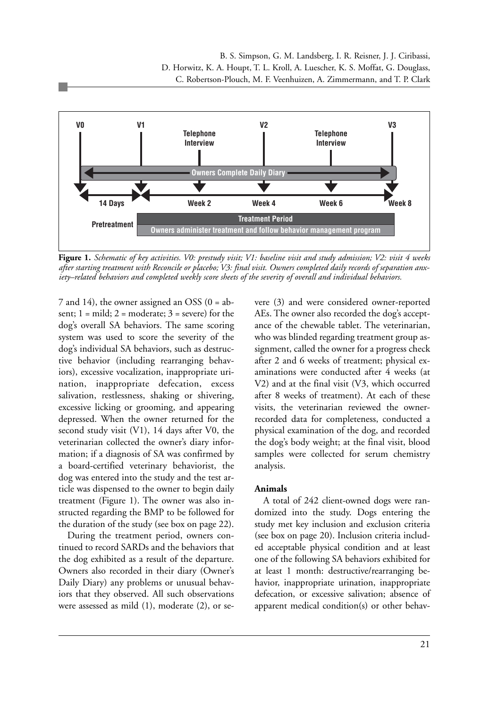

**Figure 1.** *Schematic of key activities. V0: prestudy visit; V1: baseline visit and study admission; V2: visit 4 weeks after starting treatment with Reconcile or placebo; V3: final visit. Owners completed daily records of separation anxiety–related behaviors and completed weekly score sheets of the severity of overall and individual behaviors.*

7 and 14), the owner assigned an OSS (0 = absent;  $1 = \text{mild}$ ;  $2 = \text{moderate}$ ;  $3 = \text{severe}$ ) for the dog's overall SA behaviors. The same scoring system was used to score the severity of the dog's individual SA behaviors, such as destructive behavior (including rearranging behaviors), excessive vocalization, inappropriate urination, inappropriate defecation, excess salivation, restlessness, shaking or shivering, excessive licking or grooming, and appearing depressed. When the owner returned for the second study visit (V1), 14 days after V0, the veterinarian collected the owner's diary information; if a diagnosis of SA was confirmed by a board-certified veterinary behaviorist, the dog was entered into the study and the test article was dispensed to the owner to begin daily treatment (Figure 1). The owner was also instructed regarding the BMP to be followed for the duration of the study (see box on page 22).

During the treatment period, owners continued to record SARDs and the behaviors that the dog exhibited as a result of the departure. Owners also recorded in their diary (Owner's Daily Diary) any problems or unusual behaviors that they observed. All such observations were assessed as mild (1), moderate (2), or severe (3) and were considered owner-reported AEs. The owner also recorded the dog's acceptance of the chewable tablet. The veterinarian, who was blinded regarding treatment group assignment, called the owner for a progress check after 2 and 6 weeks of treatment; physical examinations were conducted after 4 weeks (at V2) and at the final visit (V3, which occurred after 8 weeks of treatment). At each of these visits, the veterinarian reviewed the ownerrecorded data for completeness, conducted a physical examination of the dog, and recorded the dog's body weight; at the final visit, blood samples were collected for serum chemistry analysis.

#### **Animals**

A total of 242 client-owned dogs were randomized into the study. Dogs entering the study met key inclusion and exclusion criteria (see box on page 20). Inclusion criteria included acceptable physical condition and at least one of the following SA behaviors exhibited for at least 1 month: destructive/rearranging behavior, inappropriate urination, inappropriate defecation, or excessive salivation; absence of apparent medical condition(s) or other behav-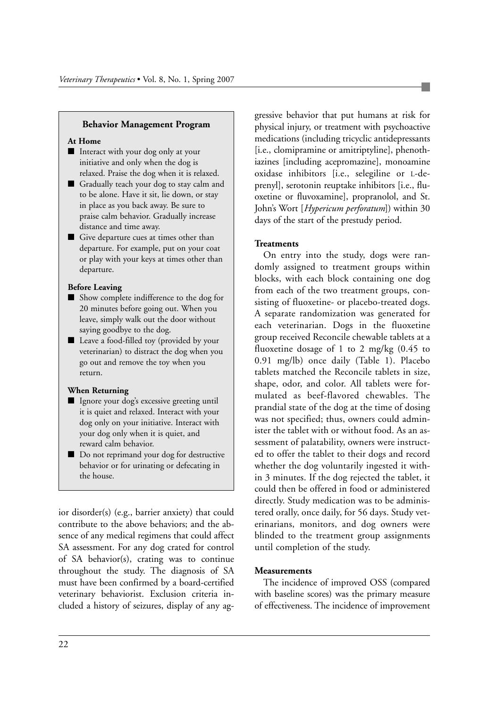#### **Behavior Management Program**

#### **At Home**

- Interact with your dog only at your initiative and only when the dog is relaxed. Praise the dog when it is relaxed.
- Gradually teach your dog to stay calm and to be alone. Have it sit, lie down, or stay in place as you back away. Be sure to praise calm behavior. Gradually increase distance and time away.
- Give departure cues at times other than departure. For example, put on your coat or play with your keys at times other than departure.

#### **Before Leaving**

- Show complete indifference to the dog for 20 minutes before going out. When you leave, simply walk out the door without saying goodbye to the dog.
- Leave a food-filled toy (provided by your veterinarian) to distract the dog when you go out and remove the toy when you return.

#### **When Returning**

- Ignore your dog's excessive greeting until it is quiet and relaxed. Interact with your dog only on your initiative. Interact with your dog only when it is quiet, and reward calm behavior.
- Do not reprimand your dog for destructive behavior or for urinating or defecating in the house.

ior disorder(s) (e.g., barrier anxiety) that could contribute to the above behaviors; and the absence of any medical regimens that could affect SA assessment. For any dog crated for control of SA behavior(s), crating was to continue throughout the study. The diagnosis of SA must have been confirmed by a board-certified veterinary behaviorist. Exclusion criteria included a history of seizures, display of any aggressive behavior that put humans at risk for physical injury, or treatment with psychoactive medications (including tricyclic antidepressants [i.e., clomipramine or amitriptyline], phenothiazines [including acepromazine], monoamine oxidase inhibitors [i.e., selegiline or L-deprenyl], serotonin reuptake inhibitors [i.e., fluoxetine or fluvoxamine], propranolol, and St. John's Wort [*Hypericum perforatum*]) within 30 days of the start of the prestudy period.

#### **Treatments**

On entry into the study, dogs were randomly assigned to treatment groups within blocks, with each block containing one dog from each of the two treatment groups, consisting of fluoxetine- or placebo-treated dogs. A separate randomization was generated for each veterinarian. Dogs in the fluoxetine group received Reconcile chewable tablets at a fluoxetine dosage of 1 to 2 mg/kg (0.45 to 0.91 mg/lb) once daily (Table 1). Placebo tablets matched the Reconcile tablets in size, shape, odor, and color. All tablets were formulated as beef-flavored chewables. The prandial state of the dog at the time of dosing was not specified; thus, owners could administer the tablet with or without food. As an assessment of palatability, owners were instructed to offer the tablet to their dogs and record whether the dog voluntarily ingested it within 3 minutes. If the dog rejected the tablet, it could then be offered in food or administered directly. Study medication was to be administered orally, once daily, for 56 days. Study veterinarians, monitors, and dog owners were blinded to the treatment group assignments until completion of the study.

#### **Measurements**

The incidence of improved OSS (compared with baseline scores) was the primary measure of effectiveness. The incidence of improvement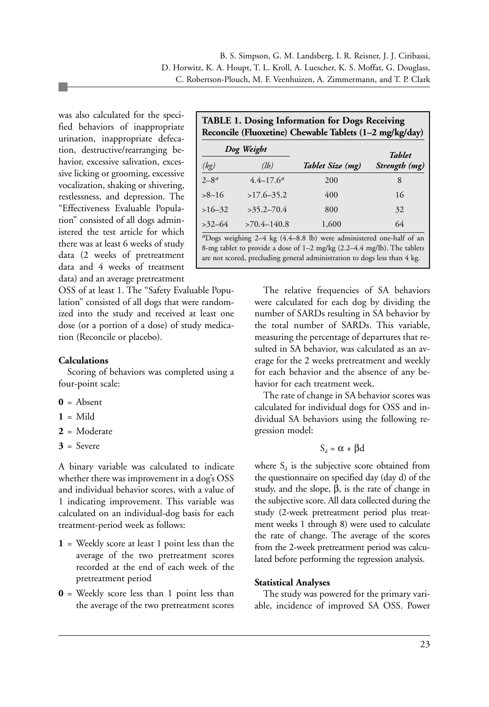was also calculated for the specified behaviors of inappropriate urination, inappropriate defecation, destructive/rearranging behavior, excessive salivation, excessive licking or grooming, excessive vocalization, shaking or shivering, restlessness, and depression. The "Effectiveness Evaluable Population" consisted of all dogs administered the test article for which there was at least 6 weeks of study data (2 weeks of pretreatment data and 4 weeks of treatment data) and an average pretreatment

OSS of at least 1. The "Safety Evaluable Population" consisted of all dogs that were randomized into the study and received at least one dose (or a portion of a dose) of study medication (Reconcile or placebo).

#### **Calculations**

Scoring of behaviors was completed using a four-point scale:

- **0** = Absent
- $1 =$ Mild
- **2** = Moderate
- **3** = Severe

A binary variable was calculated to indicate whether there was improvement in a dog's OSS and individual behavior scores, with a value of 1 indicating improvement. This variable was calculated on an individual-dog basis for each treatment-period week as follows:

- **1** = Weekly score at least 1 point less than the average of the two pretreatment scores recorded at the end of each week of the pretreatment period
- **0** = Weekly score less than 1 point less than the average of the two pretreatment scores

| <b>TABLE 1. Dosing Information for Dogs Receiving</b><br>Reconcile (Fluoxetine) Chewable Tablets (1-2 mg/kg/day) |                 |                  |               |  |
|------------------------------------------------------------------------------------------------------------------|-----------------|------------------|---------------|--|
|                                                                                                                  | Dog Weight      |                  | <b>Tablet</b> |  |
| (kg)                                                                                                             | (lb)            | Tablet Size (mg) | Strength (mg) |  |
| $2 - 8^d$                                                                                                        | $4.4 - 17.6^a$  | 200              | 8             |  |
| $>8 - 16$                                                                                                        | $>17.6-35.2$    | 400              | 16            |  |
| $>16-32$                                                                                                         | $>35.2 - 70.4$  | 800              | 32            |  |
| $>32-64$                                                                                                         | $>70.4 - 140.8$ | 1,600            | 64            |  |

*<sup>a</sup>*Dogs weighing 2–4 kg (4.4–8.8 lb) were administered one-half of an 8-mg tablet to provide a dose of 1–2 mg/kg (2.2–4.4 mg/lb). The tablets are not scored, precluding general administration to dogs less than 4 kg.

> The relative frequencies of SA behaviors were calculated for each dog by dividing the number of SARDs resulting in SA behavior by the total number of SARDs. This variable, measuring the percentage of departures that resulted in SA behavior, was calculated as an average for the 2 weeks pretreatment and weekly for each behavior and the absence of any behavior for each treatment week.

> The rate of change in SA behavior scores was calculated for individual dogs for OSS and individual SA behaviors using the following regression model:

> > $S_d = \alpha + \beta d$

where  $S_d$  is the subjective score obtained from the questionnaire on specified day (day d) of the study, and the slope, β, is the rate of change in the subjective score. All data collected during the study (2-week pretreatment period plus treatment weeks 1 through 8) were used to calculate the rate of change. The average of the scores from the 2-week pretreatment period was calculated before performing the regression analysis.

#### **Statistical Analyses**

The study was powered for the primary variable, incidence of improved SA OSS. Power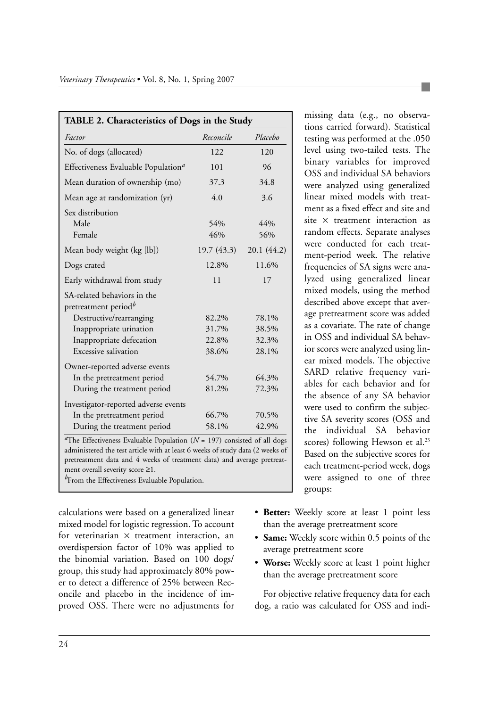| TABLE 2. Characteristics of Dogs in the Study                                                          |             |            |  |
|--------------------------------------------------------------------------------------------------------|-------------|------------|--|
| Factor                                                                                                 | Reconcile   | Placebo    |  |
| No. of dogs (allocated)                                                                                | 122         | 120        |  |
| Effectiveness Evaluable Population <sup>a</sup>                                                        | 101         | 96         |  |
| Mean duration of ownership (mo)                                                                        | 37.3        | 34.8       |  |
| Mean age at randomization (yr)                                                                         | 4.0         | 3.6        |  |
| Sex distribution<br>Male<br>Female                                                                     | 54%<br>46%  | 44%<br>56% |  |
| Mean body weight (kg [lb])                                                                             | 19.7 (43.3) | 20.1(44.2) |  |
| Dogs crated                                                                                            | 12.8%       | 11.6%      |  |
| Early withdrawal from study                                                                            | 11          | 17         |  |
| SA-related behaviors in the<br>pretreatment period <sup>b</sup>                                        |             |            |  |
| Destructive/rearranging                                                                                | 82.2%       | 78.1%      |  |
| Inappropriate urination                                                                                | 31.7%       | 38.5%      |  |
| Inappropriate defecation                                                                               | 22.8%       | 32.3%      |  |
| Excessive salivation                                                                                   | 38.6%       | 28.1%      |  |
| Owner-reported adverse events                                                                          |             |            |  |
| In the pretreatment period                                                                             | 54.7%       | 64.3%      |  |
| During the treatment period                                                                            | 81.2%       | 72.3%      |  |
| Investigator-reported adverse events                                                                   |             |            |  |
| In the pretreatment period                                                                             | 66.7%       | 70.5%      |  |
| During the treatment period                                                                            | 58.1%       | 42.9%      |  |
| <sup><i>a</i>The Effectiveness Evaluable Population (<math>N = 197</math>) consisted of all dogs</sup> |             |            |  |

administered the test article with at least 6 weeks of study data (2 weeks of pretreatment data and 4 weeks of treatment data) and average pretreatment overall severity score ≥1.

*<sup>b</sup>*From the Effectiveness Evaluable Population.

calculations were based on a generalized linear mixed model for logistic regression. To account for veterinarian  $\times$  treatment interaction, an overdispersion factor of 10% was applied to the binomial variation. Based on 100 dogs/ group, this study had approximately 80% power to detect a difference of 25% between Reconcile and placebo in the incidence of improved OSS. There were no adjustments for

missing data (e.g., no observations carried forward). Statistical testing was performed at the .050 level using two-tailed tests. The binary variables for improved OSS and individual SA behaviors were analyzed using generalized linear mixed models with treatment as a fixed effect and site and site  $\times$  treatment interaction as random effects. Separate analyses were conducted for each treatment-period week. The relative frequencies of SA signs were analyzed using generalized linear mixed models, using the method described above except that average pretreatment score was added as a covariate. The rate of change in OSS and individual SA behavior scores were analyzed using linear mixed models. The objective SARD relative frequency variables for each behavior and for the absence of any SA behavior were used to confirm the subjective SA severity scores (OSS and the individual SA behavior scores) following Hewson et al.<sup>23</sup> Based on the subjective scores for each treatment-period week, dogs were assigned to one of three groups:

- **Better:** Weekly score at least 1 point less than the average pretreatment score
- **Same:** Weekly score within 0.5 points of the average pretreatment score
- **Worse:** Weekly score at least 1 point higher than the average pretreatment score

For objective relative frequency data for each dog, a ratio was calculated for OSS and indi-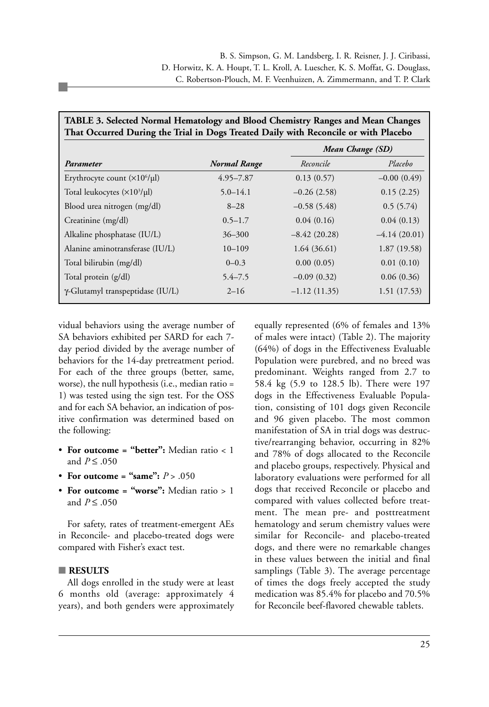| Tribut richtet ruimai richiatulogy and blood Chemistry Ranges and mean Changes<br>That Occurred During the Trial in Dogs Treated Daily with Reconcile or with Placebo |                     |                |                  |  |
|-----------------------------------------------------------------------------------------------------------------------------------------------------------------------|---------------------|----------------|------------------|--|
|                                                                                                                                                                       |                     |                | Mean Change (SD) |  |
| Parameter                                                                                                                                                             | <b>Normal Range</b> | Reconcile      | Placebo          |  |
| Erythrocyte count (×10 <sup>6</sup> /µl)                                                                                                                              | $4.95 - 7.87$       | 0.13(0.57)     | $-0.00(0.49)$    |  |
| Total leukocytes $(\times 10^3/\mu l)$                                                                                                                                | $5.0 - 14.1$        | $-0.26(2.58)$  | 0.15(2.25)       |  |
| Blood urea nitrogen (mg/dl)                                                                                                                                           | $8 - 28$            | $-0.58(5.48)$  | 0.5(5.74)        |  |
| Creatinine (mg/dl)                                                                                                                                                    | $0.5 - 1.7$         | 0.04(0.16)     | 0.04(0.13)       |  |
| Alkaline phosphatase (IU/L)                                                                                                                                           | $36 - 300$          | $-8.42(20.28)$ | $-4.14(20.01)$   |  |
| Alanine aminotransferase (IU/L)                                                                                                                                       | $10 - 109$          | 1.64(36.61)    | 1.87(19.58)      |  |
| Total bilirubin (mg/dl)                                                                                                                                               | $0 - 0.3$           | 0.00(0.05)     | 0.01(0.10)       |  |
| Total protein (g/dl)                                                                                                                                                  | $5.4 - 7.5$         | $-0.09(0.32)$  | 0.06(0.36)       |  |
| γ-Glutamyl transpeptidase (IU/L)                                                                                                                                      | $2 - 16$            | $-1.12(11.35)$ | 1.51(17.53)      |  |

**TABLE 3. Selected Normal Hematology and Blood Chemistry Ranges and Mean Changes**

vidual behaviors using the average number of SA behaviors exhibited per SARD for each 7 day period divided by the average number of behaviors for the 14-day pretreatment period. For each of the three groups (better, same, worse), the null hypothesis (i.e., median ratio = 1) was tested using the sign test. For the OSS and for each SA behavior, an indication of positive confirmation was determined based on the following:

- **For outcome = "better":** Median ratio < 1 and *P* ≤ .050
- For outcome = "same":  $P > .050$
- **For outcome = "worse":** Median ratio > 1 and *P* ≤ .050

For safety, rates of treatment-emergent AEs in Reconcile- and placebo-treated dogs were compared with Fisher's exact test.

#### ■ **RESULTS**

All dogs enrolled in the study were at least 6 months old (average: approximately 4 years), and both genders were approximately equally represented (6% of females and 13% of males were intact) (Table 2). The majority (64%) of dogs in the Effectiveness Evaluable Population were purebred, and no breed was predominant. Weights ranged from 2.7 to 58.4 kg (5.9 to 128.5 lb). There were 197 dogs in the Effectiveness Evaluable Population, consisting of 101 dogs given Reconcile and 96 given placebo. The most common manifestation of SA in trial dogs was destructive/rearranging behavior, occurring in 82% and 78% of dogs allocated to the Reconcile and placebo groups, respectively. Physical and laboratory evaluations were performed for all dogs that received Reconcile or placebo and compared with values collected before treatment. The mean pre- and posttreatment hematology and serum chemistry values were similar for Reconcile- and placebo-treated dogs, and there were no remarkable changes in these values between the initial and final samplings (Table 3). The average percentage of times the dogs freely accepted the study medication was 85.4% for placebo and 70.5% for Reconcile beef-flavored chewable tablets.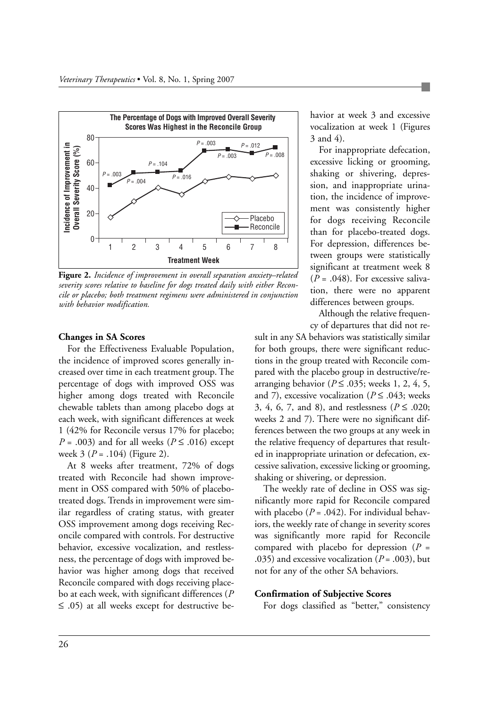

**Figure 2.** *Incidence of improvement in overall separation anxiety–related severity scores relative to baseline for dogs treated daily with either Reconcile or placebo; both treatment regimens were administered in conjunction with behavior modification.*

#### **Changes in SA Scores**

For the Effectiveness Evaluable Population, the incidence of improved scores generally increased over time in each treatment group. The percentage of dogs with improved OSS was higher among dogs treated with Reconcile chewable tablets than among placebo dogs at each week, with significant differences at week 1 (42% for Reconcile versus 17% for placebo; *P* = .003) and for all weeks ( $P \le 0.016$ ) except week 3 (*P* = .104) (Figure 2).

At 8 weeks after treatment, 72% of dogs treated with Reconcile had shown improvement in OSS compared with 50% of placebotreated dogs. Trends in improvement were similar regardless of crating status, with greater OSS improvement among dogs receiving Reconcile compared with controls. For destructive behavior, excessive vocalization, and restlessness, the percentage of dogs with improved behavior was higher among dogs that received Reconcile compared with dogs receiving placebo at each week, with significant differences (*P* ≤ .05) at all weeks except for destructive behavior at week 3 and excessive vocalization at week 1 (Figures 3 and 4).

For inappropriate defecation, excessive licking or grooming, shaking or shivering, depression, and inappropriate urination, the incidence of improvement was consistently higher for dogs receiving Reconcile than for placebo-treated dogs. For depression, differences between groups were statistically significant at treatment week 8  $(P = .048)$ . For excessive salivation, there were no apparent differences between groups.

Although the relative frequency of departures that did not re-

sult in any SA behaviors was statistically similar for both groups, there were significant reductions in the group treated with Reconcile compared with the placebo group in destructive/rearranging behavior ( $P \leq 0.035$ ; weeks 1, 2, 4, 5, and 7), excessive vocalization ( $P \le 0.043$ ; weeks 3, 4, 6, 7, and 8), and restlessness (*P* ≤ .020; weeks 2 and 7). There were no significant differences between the two groups at any week in the relative frequency of departures that resulted in inappropriate urination or defecation, excessive salivation, excessive licking or grooming, shaking or shivering, or depression.

The weekly rate of decline in OSS was significantly more rapid for Reconcile compared with placebo  $(P = .042)$ . For individual behaviors, the weekly rate of change in severity scores was significantly more rapid for Reconcile compared with placebo for depression (*P* = .035) and excessive vocalization  $(P = .003)$ , but not for any of the other SA behaviors.

#### **Confirmation of Subjective Scores**

For dogs classified as "better," consistency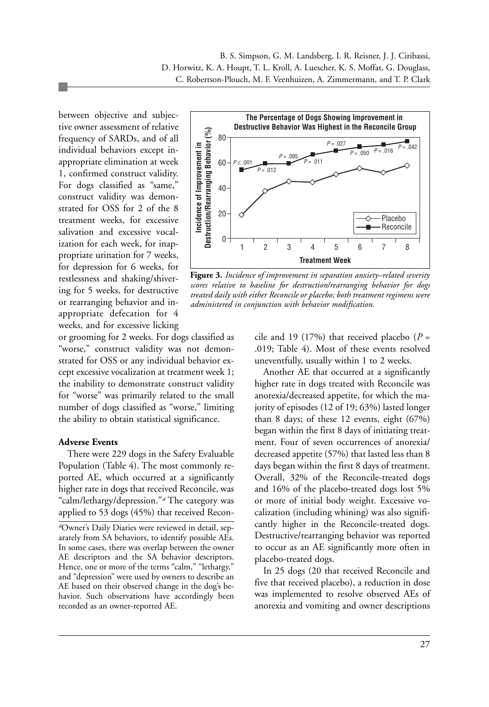between objective and subjective owner assessment of relative frequency of SARDs, and of all individual behaviors except inappropriate elimination at week 1, confirmed construct validity. For dogs classified as "same," construct validity was demonstrated for OSS for 2 of the 8 treatment weeks, for excessive salivation and excessive vocalization for each week, for inappropriate urination for 7 weeks, for depression for 6 weeks, for restlessness and shaking/shivering for 5 weeks, for destructive or rearranging behavior and inappropriate defecation for 4 weeks, and for excessive licking



**Figure 3.** *Incidence of improvement in separation anxiety–related severity scores relative to baseline for destruction/rearranging behavior for dogs treated daily with either Reconcile or placebo; both treatment regimens were administered in conjunction with behavior modification.*

or grooming for 2 weeks. For dogs classified as "worse," construct validity was not demonstrated for OSS or any individual behavior except excessive vocalization at treatment week 1; the inability to demonstrate construct validity for "worse" was primarily related to the small number of dogs classified as "worse," limiting the ability to obtain statistical significance.

#### **Adverse Events**

There were 229 dogs in the Safety Evaluable Population (Table 4). The most commonly reported AE, which occurred at a significantly higher rate in dogs that received Reconcile, was "calm/lethargy/depression."*<sup>a</sup>* The category was applied to 53 dogs (45%) that received Recon-

*<sup>a</sup>*Owner's Daily Diaries were reviewed in detail, separately from SA behaviors, to identify possible AEs. In some cases, there was overlap between the owner AE descriptors and the SA behavior descriptors. Hence, one or more of the terms "calm," "lethargy," and "depression" were used by owners to describe an AE based on their observed change in the dog's behavior. Such observations have accordingly been recorded as an owner-reported AE.

cile and 19 (17%) that received placebo ( $P =$ .019; Table 4). Most of these events resolved uneventfully, usually within 1 to 2 weeks.

Another AE that occurred at a significantly higher rate in dogs treated with Reconcile was anorexia/decreased appetite, for which the majority of episodes (12 of 19; 63%) lasted longer than 8 days; of these 12 events, eight (67%) began within the first 8 days of initiating treatment. Four of seven occurrences of anorexia/ decreased appetite (57%) that lasted less than 8 days began within the first 8 days of treatment. Overall, 32% of the Reconcile-treated dogs and 16% of the placebo-treated dogs lost 5% or more of initial body weight. Excessive vocalization (including whining) was also significantly higher in the Reconcile-treated dogs. Destructive/rearranging behavior was reported to occur as an AE significantly more often in placebo-treated dogs.

In 25 dogs (20 that received Reconcile and five that received placebo), a reduction in dose was implemented to resolve observed AEs of anorexia and vomiting and owner descriptions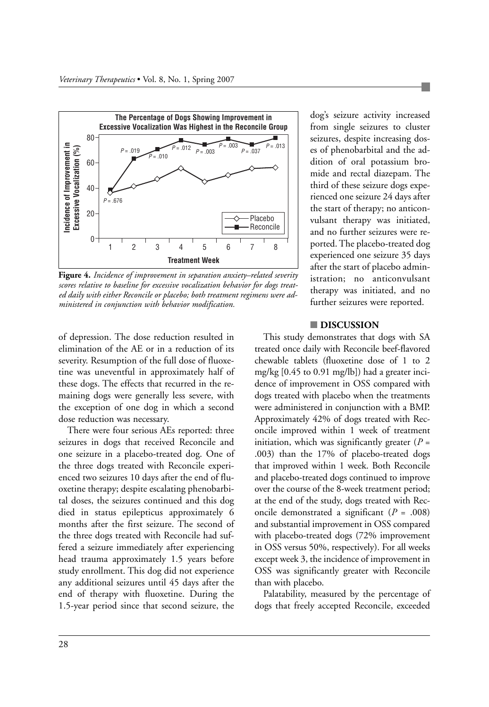

**Figure 4.** *Incidence of improvement in separation anxiety–related severity scores relative to baseline for excessive vocalization behavior for dogs treated daily with either Reconcile or placebo; both treatment regimens were administered in conjunction with behavior modification.*

of depression. The dose reduction resulted in elimination of the AE or in a reduction of its severity. Resumption of the full dose of fluoxetine was uneventful in approximately half of these dogs. The effects that recurred in the remaining dogs were generally less severe, with the exception of one dog in which a second dose reduction was necessary.

There were four serious AEs reported: three seizures in dogs that received Reconcile and one seizure in a placebo-treated dog. One of the three dogs treated with Reconcile experienced two seizures 10 days after the end of fluoxetine therapy; despite escalating phenobarbital doses, the seizures continued and this dog died in status epilepticus approximately 6 months after the first seizure. The second of the three dogs treated with Reconcile had suffered a seizure immediately after experiencing head trauma approximately 1.5 years before study enrollment. This dog did not experience any additional seizures until 45 days after the end of therapy with fluoxetine. During the 1.5-year period since that second seizure, the

dog's seizure activity increased from single seizures to cluster seizures, despite increasing doses of phenobarbital and the addition of oral potassium bromide and rectal diazepam. The third of these seizure dogs experienced one seizure 24 days after the start of therapy; no anticonvulsant therapy was initiated, and no further seizures were reported. The placebo-treated dog experienced one seizure 35 days after the start of placebo administration; no anticonvulsant therapy was initiated, and no further seizures were reported.

#### ■ **DISCUSSION**

This study demonstrates that dogs with SA treated once daily with Reconcile beef-flavored chewable tablets (fluoxetine dose of 1 to 2 mg/kg [0.45 to 0.91 mg/lb]) had a greater incidence of improvement in OSS compared with dogs treated with placebo when the treatments were administered in conjunction with a BMP. Approximately 42% of dogs treated with Reconcile improved within 1 week of treatment initiation, which was significantly greater  $(P =$ .003) than the 17% of placebo-treated dogs that improved within 1 week. Both Reconcile and placebo-treated dogs continued to improve over the course of the 8-week treatment period; at the end of the study, dogs treated with Reconcile demonstrated a significant (*P* = .008) and substantial improvement in OSS compared with placebo-treated dogs (72% improvement in OSS versus 50%, respectively). For all weeks except week 3, the incidence of improvement in OSS was significantly greater with Reconcile than with placebo.

Palatability, measured by the percentage of dogs that freely accepted Reconcile, exceeded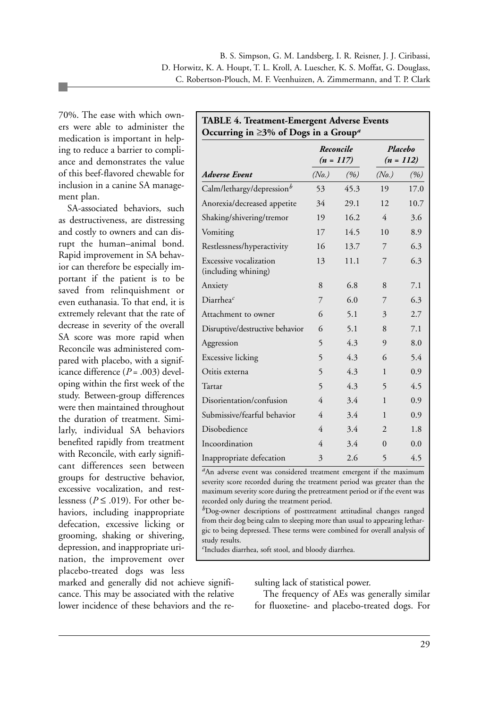70%. The ease with which owners were able to administer the medication is important in helping to reduce a barrier to compliance and demonstrates the value of this beef-flavored chewable for inclusion in a canine SA management plan.

SA-associated behaviors, such as destructiveness, are distressing and costly to owners and can disrupt the human–animal bond. Rapid improvement in SA behavior can therefore be especially important if the patient is to be saved from relinquishment or even euthanasia. To that end, it is extremely relevant that the rate of decrease in severity of the overall SA score was more rapid when Reconcile was administered compared with placebo, with a significance difference  $(P = .003)$  developing within the first week of the study. Between-group differences were then maintained throughout the duration of treatment. Similarly, individual SA behaviors benefited rapidly from treatment with Reconcile, with early significant differences seen between groups for destructive behavior, excessive vocalization, and restlessness ( $P \leq .019$ ). For other behaviors, including inappropriate defecation, excessive licking or grooming, shaking or shivering, depression, and inappropriate urination, the improvement over placebo-treated dogs was less

marked and generally did not achieve significance. This may be associated with the relative lower incidence of these behaviors and the re-

| <b>TABLE 4. Treatment-Emergent Adverse Events</b><br>Occurring in $\geq$ 3% of Dogs in a Group <sup>a</sup> |                          |      |                        |      |
|-------------------------------------------------------------------------------------------------------------|--------------------------|------|------------------------|------|
|                                                                                                             | Reconcile<br>$(n = 117)$ |      | Placebo<br>$(n = 112)$ |      |
| Adverse Event                                                                                               | (No.)                    | (%)  | (No.)                  | (%)  |
| Calm/lethargy/depression <sup>b</sup>                                                                       | 53                       | 45.3 | 19                     | 17.0 |
| Anorexia/decreased appetite                                                                                 | 34                       | 29.1 | 12                     | 10.7 |
| Shaking/shivering/tremor                                                                                    | 19                       | 16.2 | $\overline{4}$         | 3.6  |
| Vomiting                                                                                                    | 17                       | 14.5 | 10                     | 8.9  |
| Restlessness/hyperactivity                                                                                  | 16                       | 13.7 | 7                      | 6.3  |
| Excessive vocalization<br>(including whining)                                                               | 13                       | 11.1 | 7                      | 6.3  |
| Anxiety                                                                                                     | 8                        | 6.8  | 8                      | 7.1  |
| Diarrhea <sup>c</sup>                                                                                       | 7                        | 6.0  | 7                      | 6.3  |
| Attachment to owner                                                                                         | 6                        | 5.1  | 3                      | 2.7  |
| Disruptive/destructive behavior                                                                             | 6                        | 5.1  | 8                      | 7.1  |
| Aggression                                                                                                  | 5                        | 4.3  | 9                      | 8.0  |
| <b>Excessive licking</b>                                                                                    | 5                        | 4.3  | 6                      | 5.4  |
| Otitis externa                                                                                              | 5                        | 4.3  | $\mathbf{1}$           | 0.9  |
| Tartar                                                                                                      | 5                        | 4.3  | 5                      | 4.5  |
| Disorientation/confusion                                                                                    | 4                        | 3.4  | 1                      | 0.9  |
| Submissive/fearful behavior                                                                                 | $\overline{4}$           | 3.4  | 1                      | 0.9  |
| Disobedience                                                                                                | $\overline{4}$           | 3.4  | $\overline{2}$         | 1.8  |
| Incoordination                                                                                              | $\overline{4}$           | 3.4  | $\Omega$               | 0.0  |
| Inappropriate defecation                                                                                    | 3                        | 2.6  | 5                      | 4.5  |

<sup>*a*</sup>An adverse event was considered treatment emergent if the maximum severity score recorded during the treatment period was greater than the maximum severity score during the pretreatment period or if the event was recorded only during the treatment period.

*<sup>b</sup>*Dog-owner descriptions of posttreatment attitudinal changes ranged from their dog being calm to sleeping more than usual to appearing lethargic to being depressed. These terms were combined for overall analysis of study results.

*c* Includes diarrhea, soft stool, and bloody diarrhea.

sulting lack of statistical power.

The frequency of AEs was generally similar for fluoxetine- and placebo-treated dogs. For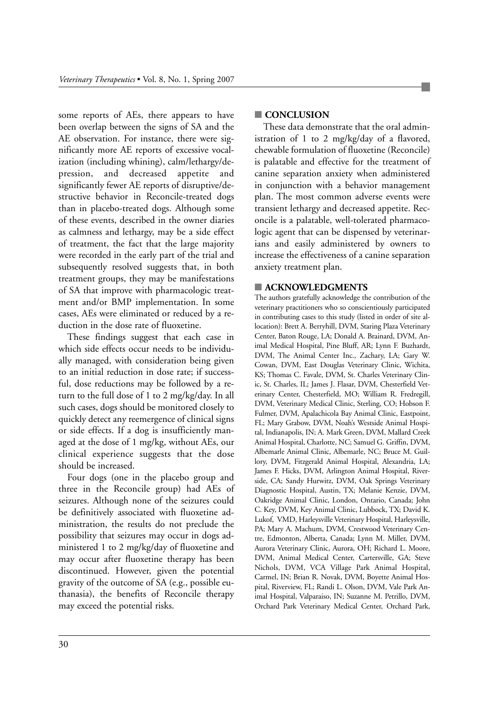some reports of AEs, there appears to have been overlap between the signs of SA and the AE observation. For instance, there were significantly more AE reports of excessive vocalization (including whining), calm/lethargy/depression, and decreased appetite and significantly fewer AE reports of disruptive/destructive behavior in Reconcile-treated dogs than in placebo-treated dogs. Although some of these events, described in the owner diaries as calmness and lethargy, may be a side effect of treatment, the fact that the large majority were recorded in the early part of the trial and subsequently resolved suggests that, in both treatment groups, they may be manifestations of SA that improve with pharmacologic treatment and/or BMP implementation. In some cases, AEs were eliminated or reduced by a reduction in the dose rate of fluoxetine.

These findings suggest that each case in which side effects occur needs to be individually managed, with consideration being given to an initial reduction in dose rate; if successful, dose reductions may be followed by a return to the full dose of 1 to 2 mg/kg/day. In all such cases, dogs should be monitored closely to quickly detect any reemergence of clinical signs or side effects. If a dog is insufficiently managed at the dose of 1 mg/kg, without AEs, our clinical experience suggests that the dose should be increased.

Four dogs (one in the placebo group and three in the Reconcile group) had AEs of seizures. Although none of the seizures could be definitively associated with fluoxetine administration, the results do not preclude the possibility that seizures may occur in dogs administered 1 to 2 mg/kg/day of fluoxetine and may occur after fluoxetine therapy has been discontinued. However, given the potential gravity of the outcome of SA (e.g., possible euthanasia), the benefits of Reconcile therapy may exceed the potential risks.

#### ■ **CONCLUSION**

These data demonstrate that the oral administration of 1 to 2 mg/kg/day of a flavored, chewable formulation of fluoxetine (Reconcile) is palatable and effective for the treatment of canine separation anxiety when administered in conjunction with a behavior management plan. The most common adverse events were transient lethargy and decreased appetite. Reconcile is a palatable, well-tolerated pharmacologic agent that can be dispensed by veterinarians and easily administered by owners to increase the effectiveness of a canine separation anxiety treatment plan.

#### ■ **ACKNOWLEDGMENTS**

The authors gratefully acknowledge the contribution of the veterinary practitioners who so conscientiously participated in contributing cases to this study (listed in order of site allocation): Brett A. Berryhill, DVM, Staring Plaza Veterinary Center, Baton Rouge, LA; Donald A. Brainard, DVM, Animal Medical Hospital, Pine Bluff, AR; Lynn F. Buzhardt, DVM, The Animal Center Inc., Zachary, LA; Gary W. Cowan, DVM, East Douglas Veterinary Clinic, Wichita, KS; Thomas C. Favale, DVM, St. Charles Veterinary Clinic, St. Charles, IL; James J. Flasar, DVM, Chesterfield Veterinary Center, Chesterfield, MO; William R. Fredregill, DVM, Veterinary Medical Clinic, Sterling, CO; Hobson F. Fulmer, DVM, Apalachicola Bay Animal Clinic, Eastpoint, FL; Mary Grabow, DVM, Noah's Westside Animal Hospital, Indianapolis, IN; A. Mark Green, DVM, Mallard Creek Animal Hospital, Charlotte, NC; Samuel G. Griffin, DVM, Albemarle Animal Clinic, Albemarle, NC; Bruce M. Guillory, DVM, Fitzgerald Animal Hospital, Alexandria, LA; James F. Hicks, DVM, Arlington Animal Hospital, Riverside, CA; Sandy Hurwitz, DVM, Oak Springs Veterinary Diagnostic Hospital, Austin, TX; Melanie Kenzie, DVM, Oakridge Animal Clinic, London, Ontario, Canada; John C. Key, DVM, Key Animal Clinic, Lubbock, TX; David K. Lukof, VMD, Harleysville Veterinary Hospital, Harleysville, PA; Mary A. Machum, DVM, Crestwood Veterinary Centre, Edmonton, Alberta, Canada; Lynn M. Miller, DVM, Aurora Veterinary Clinic, Aurora, OH; Richard L. Moore, DVM, Animal Medical Center, Cartersville, GA; Steve Nichols, DVM, VCA Village Park Animal Hospital, Carmel, IN; Brian R. Novak, DVM, Boyette Animal Hospital, Riverview, FL; Randi L. Olson, DVM, Vale Park Animal Hospital, Valparaiso, IN; Suzanne M. Petrillo, DVM, Orchard Park Veterinary Medical Center, Orchard Park,